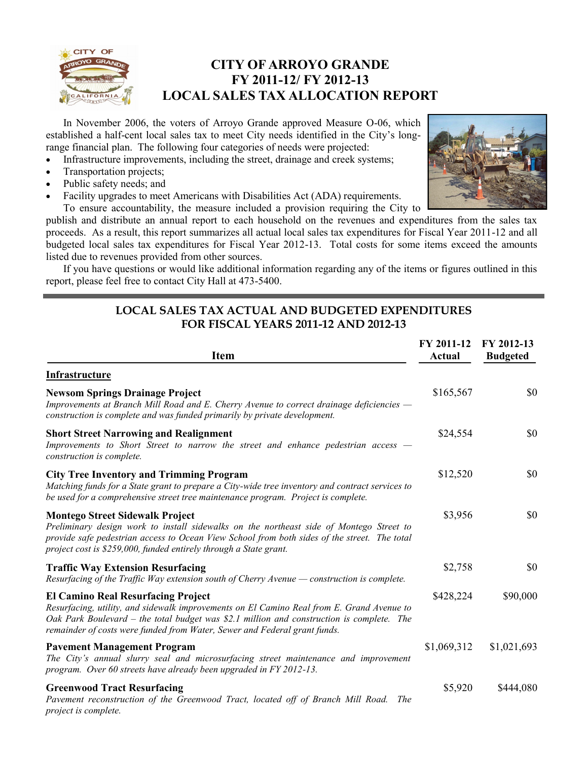

## **CITY OF ARROYO GRANDE FY 2011-12/ FY 2012-13 LOCAL SALES TAX ALLOCATION REPORT**

In November 2006, the voters of Arroyo Grande approved Measure O-06, which established a half-cent local sales tax to meet City needs identified in the City's longrange financial plan. The following four categories of needs were projected:

- Infrastructure improvements, including the street, drainage and creek systems;
- Transportation projects;
- Public safety needs; and
- Facility upgrades to meet Americans with Disabilities Act (ADA) requirements.



To ensure accountability, the measure included a provision requiring the City to publish and distribute an annual report to each household on the revenues and expenditures from the sales tax proceeds. As a result, this report summarizes all actual local sales tax expenditures for Fiscal Year 2011-12 and all budgeted local sales tax expenditures for Fiscal Year 2012-13. Total costs for some items exceed the amounts listed due to revenues provided from other sources.

If you have questions or would like additional information regarding any of the items or figures outlined in this report, please feel free to contact City Hall at 473-5400.

#### **LOCAL SALES TAX ACTUAL AND BUDGETED EXPENDITURES FOR FISCAL YEARS 2011-12 AND 2012-13**

| <b>Item</b>                                                                                                                                                                                                                                                                                                      | FY 2011-12<br><b>Actual</b> | FY 2012-13<br><b>Budgeted</b> |
|------------------------------------------------------------------------------------------------------------------------------------------------------------------------------------------------------------------------------------------------------------------------------------------------------------------|-----------------------------|-------------------------------|
| Infrastructure                                                                                                                                                                                                                                                                                                   |                             |                               |
| <b>Newsom Springs Drainage Project</b><br>Improvements at Branch Mill Road and E. Cherry Avenue to correct drainage deficiencies —<br>construction is complete and was funded primarily by private development.                                                                                                  | \$165,567                   | \$0                           |
| <b>Short Street Narrowing and Realignment</b><br>Improvements to Short Street to narrow the street and enhance pedestrian access –<br>construction is complete.                                                                                                                                                  | \$24,554                    | \$0                           |
| <b>City Tree Inventory and Trimming Program</b><br>Matching funds for a State grant to prepare a City-wide tree inventory and contract services to<br>be used for a comprehensive street tree maintenance program. Project is complete.                                                                          | \$12,520                    | \$0                           |
| <b>Montego Street Sidewalk Project</b><br>Preliminary design work to install sidewalks on the northeast side of Montego Street to<br>provide safe pedestrian access to Ocean View School from both sides of the street. The total<br>project cost is \$259,000, funded entirely through a State grant.           | \$3,956                     | \$0                           |
| <b>Traffic Way Extension Resurfacing</b><br>Resurfacing of the Traffic Way extension south of Cherry Avenue - construction is complete.                                                                                                                                                                          | \$2,758                     | \$0                           |
| <b>El Camino Real Resurfacing Project</b><br>Resurfacing, utility, and sidewalk improvements on El Camino Real from E. Grand Avenue to<br>Oak Park Boulevard – the total budget was \$2.1 million and construction is complete. The<br>remainder of costs were funded from Water, Sewer and Federal grant funds. | \$428,224                   | \$90,000                      |
| <b>Pavement Management Program</b><br>The City's annual slurry seal and microsurfacing street maintenance and improvement<br>program. Over 60 streets have already been upgraded in FY 2012-13.                                                                                                                  | \$1,069,312                 | \$1,021,693                   |
| <b>Greenwood Tract Resurfacing</b><br>Pavement reconstruction of the Greenwood Tract, located off of Branch Mill Road. The<br>project is complete.                                                                                                                                                               | \$5,920                     | \$444,080                     |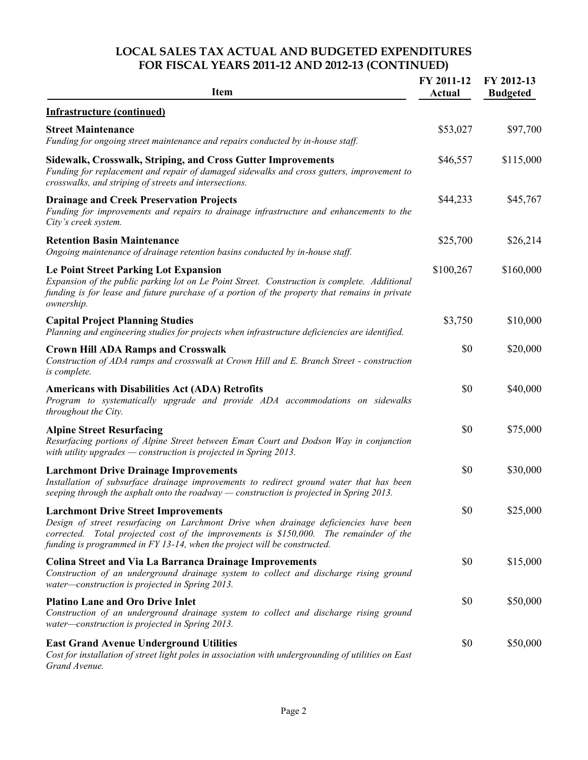### **LOCAL SALES TAX ACTUAL AND BUDGETED EXPENDITURES FOR FISCAL YEARS 2011-12 AND 2012-13 (CONTINUED)**

| <b>Item</b>                                                                                                                                                                                                                                                                                              | FY 2011-12<br>Actual | FY 2012-13<br><b>Budgeted</b> |
|----------------------------------------------------------------------------------------------------------------------------------------------------------------------------------------------------------------------------------------------------------------------------------------------------------|----------------------|-------------------------------|
| <b>Infrastructure (continued)</b>                                                                                                                                                                                                                                                                        |                      |                               |
| <b>Street Maintenance</b><br>Funding for ongoing street maintenance and repairs conducted by in-house staff.                                                                                                                                                                                             | \$53,027             | \$97,700                      |
| Sidewalk, Crosswalk, Striping, and Cross Gutter Improvements<br>Funding for replacement and repair of damaged sidewalks and cross gutters, improvement to<br>crosswalks, and striping of streets and intersections.                                                                                      | \$46,557             | \$115,000                     |
| <b>Drainage and Creek Preservation Projects</b><br>Funding for improvements and repairs to drainage infrastructure and enhancements to the<br>City's creek system.                                                                                                                                       | \$44,233             | \$45,767                      |
| <b>Retention Basin Maintenance</b><br>Ongoing maintenance of drainage retention basins conducted by in-house staff.                                                                                                                                                                                      | \$25,700             | \$26,214                      |
| <b>Le Point Street Parking Lot Expansion</b><br>Expansion of the public parking lot on Le Point Street. Construction is complete. Additional<br>funding is for lease and future purchase of a portion of the property that remains in private<br>ownership.                                              | \$100,267            | \$160,000                     |
| <b>Capital Project Planning Studies</b><br>Planning and engineering studies for projects when infrastructure deficiencies are identified.                                                                                                                                                                | \$3,750              | \$10,000                      |
| <b>Crown Hill ADA Ramps and Crosswalk</b><br>Construction of ADA ramps and crosswalk at Crown Hill and E. Branch Street - construction<br>is complete.                                                                                                                                                   | \$0                  | \$20,000                      |
| <b>Americans with Disabilities Act (ADA) Retrofits</b><br>Program to systematically upgrade and provide ADA accommodations on sidewalks<br>throughout the City.                                                                                                                                          | \$0                  | \$40,000                      |
| <b>Alpine Street Resurfacing</b><br>Resurfacing portions of Alpine Street between Eman Court and Dodson Way in conjunction<br>with utility upgrades $-$ construction is projected in Spring 2013.                                                                                                        | \$0                  | \$75,000                      |
| <b>Larchmont Drive Drainage Improvements</b><br>Installation of subsurface drainage improvements to redirect ground water that has been<br>seeping through the asphalt onto the roadway $-$ construction is projected in Spring 2013.                                                                    | \$0                  | \$30,000                      |
| <b>Larchmont Drive Street Improvements</b><br>Design of street resurfacing on Larchmont Drive when drainage deficiencies have been<br>corrected. Total projected cost of the improvements is \$150,000. The remainder of the<br>funding is programmed in FY 13-14, when the project will be constructed. | \$0                  | \$25,000                      |
| <b>Colina Street and Via La Barranca Drainage Improvements</b><br>Construction of an underground drainage system to collect and discharge rising ground<br>water-construction is projected in Spring 2013.                                                                                               | \$0                  | \$15,000                      |
| <b>Platino Lane and Oro Drive Inlet</b><br>Construction of an underground drainage system to collect and discharge rising ground<br>water-construction is projected in Spring 2013.                                                                                                                      | \$0                  | \$50,000                      |
| <b>East Grand Avenue Underground Utilities</b><br>Cost for installation of street light poles in association with undergrounding of utilities on East<br>Grand Avenue.                                                                                                                                   | \$0                  | \$50,000                      |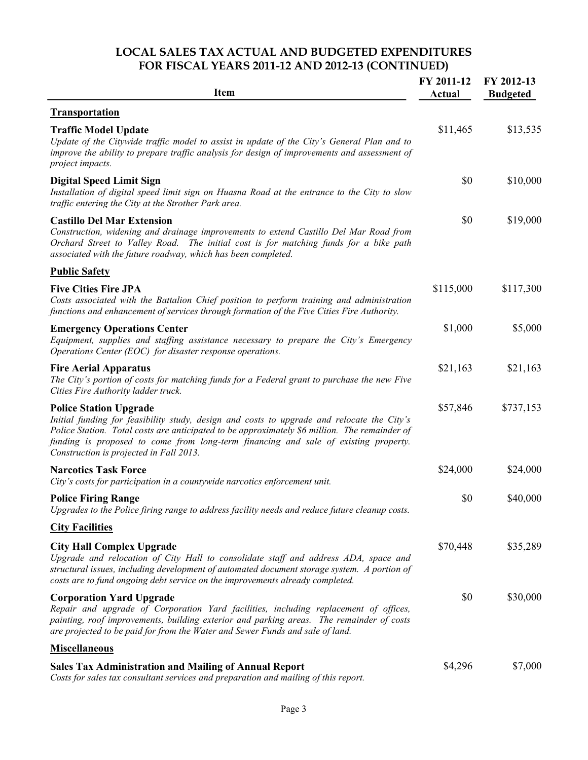#### **LOCAL SALES TAX ACTUAL AND BUDGETED EXPENDITURES FOR FISCAL YEARS 2011-12 AND 2012-13 (CONTINUED)**

| <b>Item</b>                                                                                                                                                                                                                                                                                                                                                    | FY 2011-12<br><b>Actual</b> | FY 2012-13<br><b>Budgeted</b> |
|----------------------------------------------------------------------------------------------------------------------------------------------------------------------------------------------------------------------------------------------------------------------------------------------------------------------------------------------------------------|-----------------------------|-------------------------------|
| <b>Transportation</b>                                                                                                                                                                                                                                                                                                                                          |                             |                               |
| <b>Traffic Model Update</b><br>Update of the Citywide traffic model to assist in update of the City's General Plan and to<br>improve the ability to prepare traffic analysis for design of improvements and assessment of<br>project impacts.                                                                                                                  | \$11,465                    | \$13,535                      |
| <b>Digital Speed Limit Sign</b><br>Installation of digital speed limit sign on Huasna Road at the entrance to the City to slow<br>traffic entering the City at the Strother Park area.                                                                                                                                                                         | \$0                         | \$10,000                      |
| <b>Castillo Del Mar Extension</b><br>Construction, widening and drainage improvements to extend Castillo Del Mar Road from<br>Orchard Street to Valley Road. The initial cost is for matching funds for a bike path<br>associated with the future roadway, which has been completed.                                                                           | \$0                         | \$19,000                      |
| <b>Public Safety</b>                                                                                                                                                                                                                                                                                                                                           |                             |                               |
| <b>Five Cities Fire JPA</b><br>Costs associated with the Battalion Chief position to perform training and administration<br>functions and enhancement of services through formation of the Five Cities Fire Authority.                                                                                                                                         | \$115,000                   | \$117,300                     |
| <b>Emergency Operations Center</b><br>Equipment, supplies and staffing assistance necessary to prepare the City's Emergency<br>Operations Center (EOC) for disaster response operations.                                                                                                                                                                       | \$1,000                     | \$5,000                       |
| <b>Fire Aerial Apparatus</b><br>The City's portion of costs for matching funds for a Federal grant to purchase the new Five<br>Cities Fire Authority ladder truck.                                                                                                                                                                                             | \$21,163                    | \$21,163                      |
| <b>Police Station Upgrade</b><br>Initial funding for feasibility study, design and costs to upgrade and relocate the City's<br>Police Station. Total costs are anticipated to be approximately \$6 million. The remainder of<br>funding is proposed to come from long-term financing and sale of existing property.<br>Construction is projected in Fall 2013. | \$57,846                    | \$737,153                     |
| <b>Narcotics Task Force</b><br>City's costs for participation in a countywide narcotics enforcement unit.                                                                                                                                                                                                                                                      | \$24,000                    | \$24,000                      |
| <b>Police Firing Range</b><br>Upgrades to the Police firing range to address facility needs and reduce future cleanup costs.                                                                                                                                                                                                                                   | \$0                         | \$40,000                      |
| <b>City Facilities</b>                                                                                                                                                                                                                                                                                                                                         |                             |                               |
| <b>City Hall Complex Upgrade</b><br>Upgrade and relocation of City Hall to consolidate staff and address ADA, space and<br>structural issues, including development of automated document storage system. A portion of<br>costs are to fund ongoing debt service on the improvements already completed.                                                        | \$70,448                    | \$35,289                      |
| <b>Corporation Yard Upgrade</b><br>Repair and upgrade of Corporation Yard facilities, including replacement of offices,<br>painting, roof improvements, building exterior and parking areas. The remainder of costs<br>are projected to be paid for from the Water and Sewer Funds and sale of land.                                                           | \$0                         | \$30,000                      |
| <b>Miscellaneous</b>                                                                                                                                                                                                                                                                                                                                           |                             |                               |
| <b>Sales Tax Administration and Mailing of Annual Report</b><br>Costs for sales tax consultant services and preparation and mailing of this report.                                                                                                                                                                                                            | \$4,296                     | \$7,000                       |